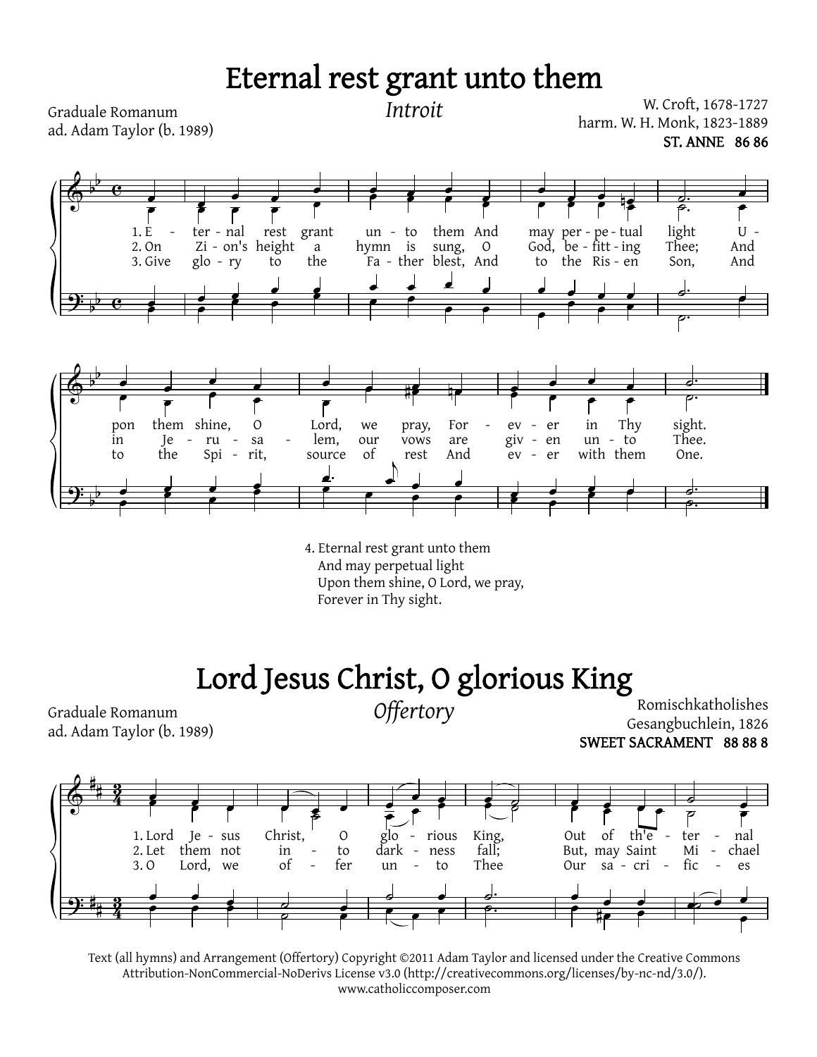## Eternal rest grant unto them

 $\Phi$ <u>ș:</u> b b b b  $\overline{\mathbf{e}}$  $\overline{\mathbf{e}}$ œ 1. E 2. On 3. Give e<br>P œ œ  $\frac{1}{2}$   $\frac{1}{2}$   $\frac{1}{2}$   $\frac{1}{2}$ - ter - nal Zi - on's height glo - ry rest to grant a the  $\frac{1}{2}$   $\frac{1}{2}$   $\frac{1}{2}$   $\frac{1}{2}$   $\frac{1}{2}$ <sup>œ</sup> <sup>œ</sup> <sup>œ</sup> <sup>œ</sup> <sup>œ</sup> <sup>œ</sup> <sup>œ</sup> <sup>œ</sup>  $\epsilon$   $\epsilon$   $\epsilon$ un - to hymn is Fa - ther blest, And them And sung, O œ œ œ œ <sup>œ</sup> <sup>œ</sup> <sup>œ</sup> <sup>œ</sup> <sup>œ</sup> <sup>œ</sup> <sup>œ</sup> <sup>œ</sup> <sup>œ</sup> <sup>œ</sup> <sup>œ</sup> nœ may per - pe - tual may per - pe - tual<br>God, be - fitt - ing to the) Ris - en  $\frac{1}{\sqrt{2}}$ <u></u><br> ← ←  $\frac{1}{2}$ . light Thee; Son, U - And And <u>d. –</u><br>p. p <u>d.</u><br>p.  $\Phi$ <u>q:</u> b b b b œ œ œ œ pon in to them shine, Je the  $-ru$   $-$ Spi - rit, O sa œ œ œ œ <sup>œ</sup> <sup>œ</sup> <sup>œ</sup> <sup>œ</sup> <sup>œ</sup> <sup>œ</sup> <sup>œ</sup> <sup>œ</sup> <mark>。</mark><br> #<mark>@</mark><br> #@ Lord, lem, source we our of pray, vows rest For are And and the term of the term of the term of the term of the term of the term of the term of the term of the term of the term of the term of the term of the term of the term of the term of the term of the term of the term of th <sup>œ</sup> <sup>œ</sup> <sup>œ</sup> <sup>œ</sup> <sup>œ</sup> <sup>œ</sup> <sup>œ</sup>  $\epsilon$ ev giv ev er en er in un with them Thy to - **∈ ← ← ←** <sup>œ</sup> <sup>œ</sup> <sup>œ</sup> <sup>œ</sup> <sup>œ</sup> <sup>œ</sup> <sup>œ</sup> ˙. sight. Thee. One.  $\frac{1}{\rho}$ ˙.  $\frac{1}{\rho}$ Lord, we pray, For - ev -<br>- lem, our vows are giv -- - *Introit* W. Croft, 1678-1727 harm. W. H. Monk, 1823-1889 ST. ANNE 86 86 Graduale Romanum ad. Adam Taylor (b. 1989)

> 4. Eternal rest grant unto them And may perpetual light Upon them shine, O Lord, we pray, Forever in Thy sight.

## Lord Jesus Christ, O glorious King

Graduale Romanum *Offertory* ad. Adam Taylor (b. 1989)

Romischkatholishes Gesangbuchlein, 1826 SWEET SACRAMENT 88 88 8



Text (all hymns) and Arrangement (Offertory) Copyright ©2011 Adam Taylor and licensed under the Creative Commons Attribution-NonCommercial-NoDerivs License v3.0 (http://creativecommons.org/licenses/by-nc-nd/3.0/). www.catholiccomposer.com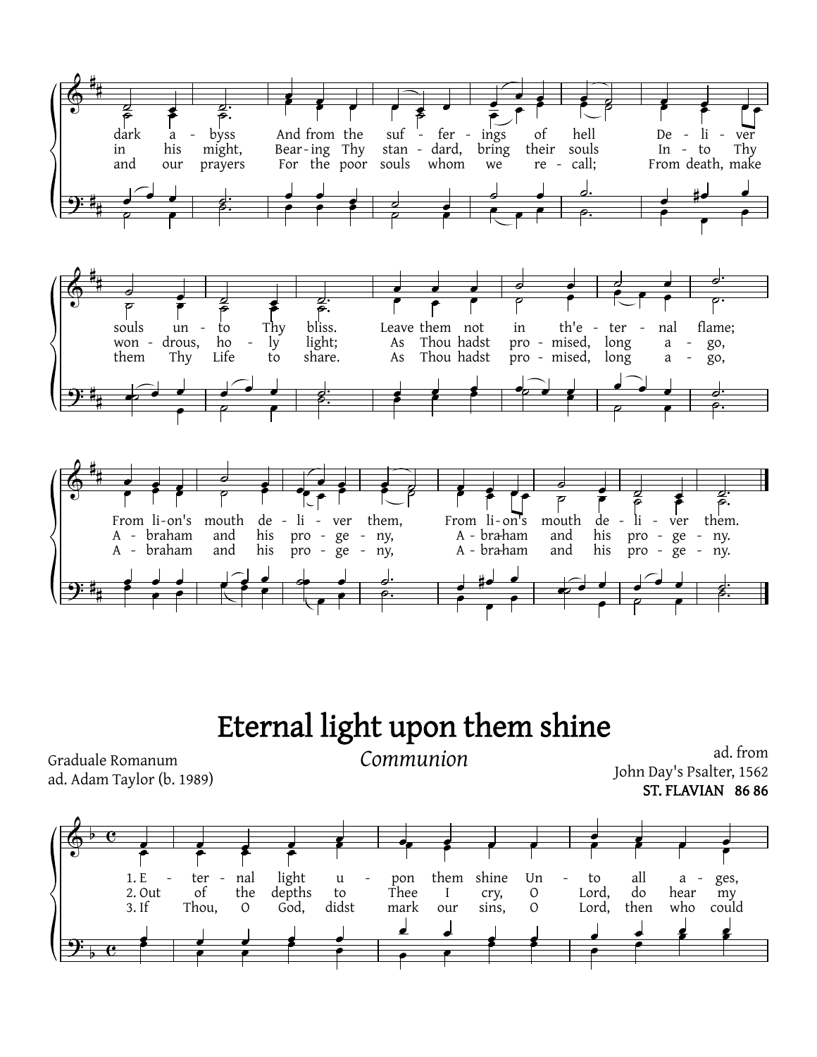

## Eternal light upon them shine

Graduale Romanum ad. Adam Taylor (b. 1989) Communion

ad. from John Day's Psalter, 1562 ST. FLAVIAN 86 86